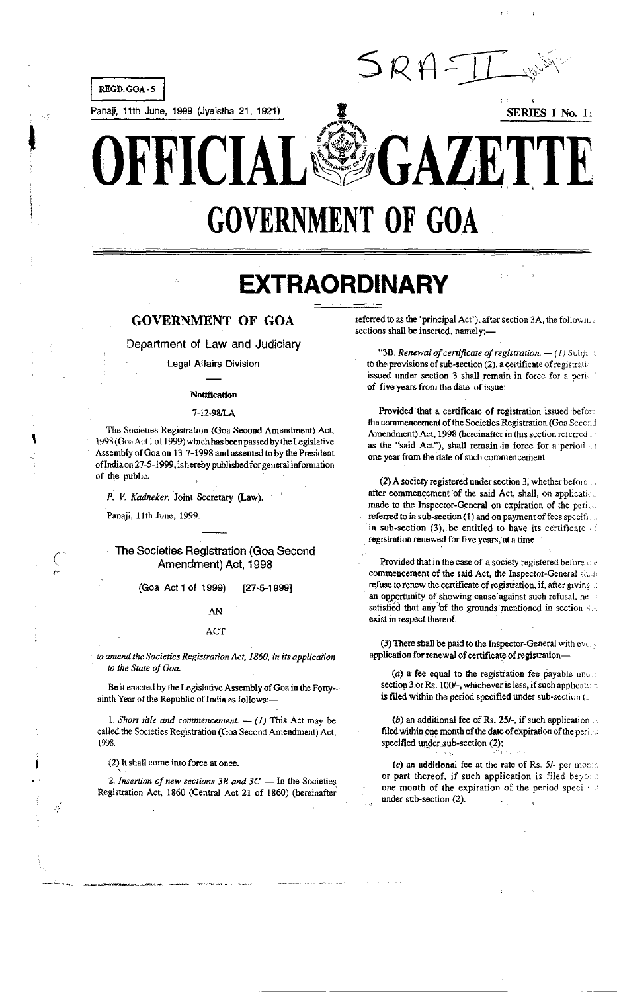

Panaji, 11th June, 1999 (Jyaistha 21, 1921)



# $\Gamma$   $\Delta$ R R I  $\begin{bmatrix} 1 \\ 1 \end{bmatrix}$ **GOVERNMENT OF GOA**

SRX

# **EXTRAORDINARY**

## **GOVERNMENT OF GOA**

Department of Law and Judiciary

Legal Affairs Division

### **Notification**

#### 7-12-98/LA

The Societies Registration (Goa Second Amendment) Act, 1998 (Goa Act 1 of 1999) which has been passed by the Legislative Assembly of Goa on 13-7-1998 and assented to by the President of India on 27-5-1999, is hereby published for general information of the public.

P. V. Kadneker, Joint Secretary (Law).

Panaji, 11th June, 1999.

## The Societies Registration (Goa Second Amendment) Act, 1998

(Goa Act 1 of 1999) [27-5-1999]

## AN

### ACT

to amend the Societies Registration Act, 1860, in its application to the State of Goa.

Be it enacted by the Legislative Assembly of Goa in the Fortyninth Year of the Republic of India as follows:-

1. Short title and commencement.  $-$  (1) This Act may be called the Societies Registration (Goa Second Amendment) Act, 1998

(2) It shall come into force at once.

لتبيب

2. Insertion of new sections  $3B$  and  $3C$ . - In the Societies Registration Act, 1860 (Central Act 21 of 1860) (hereinafter referred to as the 'principal Act'), after section 3A, the following sections shall be inserted, namely:-

"3B. Renewal of certificate of registration.  $-(I)$  Subject to the provisions of sub-section (2), a certificate of registratiissued under section 3 shall remain in force for a perict of five years from the date of issue:

Provided that a certificate of registration issued before the commencement of the Societies Registration (Goa Second Amendment) Act, 1998 (hereinafter in this section referred as the "said Act"), shall remain in force for a period of one year from the date of such commencement.

(2) A society registered under section 3, whether before an after commencement of the said Act, shall, on application made to the Inspector-General on expiration of the period referred to in sub-section (1) and on payment of fees specifical in sub-section (3), be entitled to have its certificate  $\Box$ registration renewed for five years, at a time:

Provided that in the case of a society registered before and commencement of the said Act, the Inspector-General short refuse to renew the certificate of registration, if, after giving at an opportunity of showing cause against such refusal, he satisfied that any of the grounds mentioned in section 4.5 exist in respect thereof.

(3) There shall be paid to the Inspector-General with every application for renewal of certificate of registration-

(a) a fee equal to the registration fee payable under section 3 or Rs. 100/-, whichever is less, if such applicat. is filed within the period specified under sub-section (2)

(b) an additional fee of Rs. 25/-, if such application  $\sim$ filed within one month of the date of expiration of the period specified under sub-section (2);

(c) an additional fee at the rate of Rs. 5/- per month or part thereof, if such application is filed beyond one month of the expiration of the period specifical under sub-section (2).